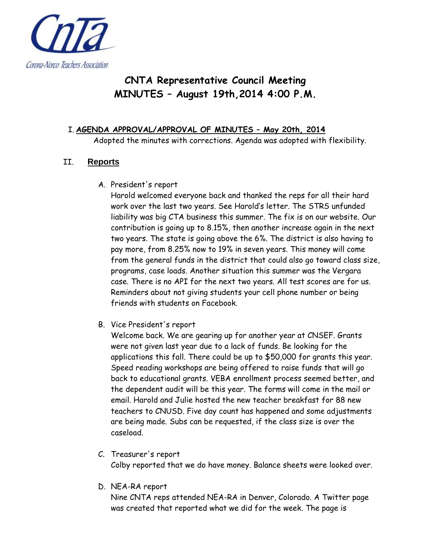

# **CNTA Representative Council Meeting MINUTES – August 19th,2014 4:00 P.M.**

## I. **AGENDA APPROVAL/APPROVAL OF MINUTES – May 20th, 2014**

Adopted the minutes with corrections. Agenda was adopted with flexibility.

## II. **Reports**

A. President's report

Harold welcomed everyone back and thanked the reps for all their hard work over the last two years. See Harold's letter. The STRS unfunded liability was big CTA business this summer. The fix is on our website. Our contribution is going up to 8.15%, then another increase again in the next two years. The state is going above the 6%. The district is also having to pay more, from 8.25% now to 19% in seven years. This money will come from the general funds in the district that could also go toward class size, programs, case loads. Another situation this summer was the Vergara case. There is no API for the next two years. All test scores are for us. Reminders about not giving students your cell phone number or being friends with students on Facebook.

B. Vice President's report

Welcome back. We are gearing up for another year at CNSEF. Grants were not given last year due to a lack of funds. Be looking for the applications this fall. There could be up to \$50,000 for grants this year. Speed reading workshops are being offered to raise funds that will go back to educational grants. VEBA enrollment process seemed better, and the dependent audit will be this year. The forms will come in the mail or email. Harold and Julie hosted the new teacher breakfast for 88 new teachers to CNUSD. Five day count has happened and some adjustments are being made. Subs can be requested, if the class size is over the caseload.

- C. Treasurer's report Colby reported that we do have money. Balance sheets were looked over.
- D. NEA-RA report

Nine CNTA reps attended NEA-RA in Denver, Colorado. A Twitter page was created that reported what we did for the week. The page is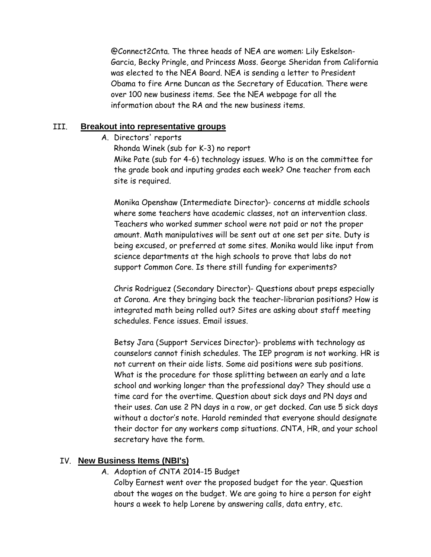@Connect2Cnta. The three heads of NEA are women: Lily Eskelson-Garcia, Becky Pringle, and Princess Moss. George Sheridan from California was elected to the NEA Board. NEA is sending a letter to President Obama to fire Arne Duncan as the Secretary of Education. There were over 100 new business items. See the NEA webpage for all the information about the RA and the new business items.

#### III. **Breakout into representative groups**

A. Directors' reports

Rhonda Winek (sub for K-3) no report Mike Pate (sub for 4-6) technology issues. Who is on the committee for the grade book and inputing grades each week? One teacher from each site is required.

Monika Openshaw (Intermediate Director)- concerns at middle schools where some teachers have academic classes, not an intervention class. Teachers who worked summer school were not paid or not the proper amount. Math manipulatives will be sent out at one set per site. Duty is being excused, or preferred at some sites. Monika would like input from science departments at the high schools to prove that labs do not support Common Core. Is there still funding for experiments?

Chris Rodriguez (Secondary Director)- Questions about preps especially at Corona. Are they bringing back the teacher-librarian positions? How is integrated math being rolled out? Sites are asking about staff meeting schedules. Fence issues. Email issues.

Betsy Jara (Support Services Director)- problems with technology as counselors cannot finish schedules. The IEP program is not working. HR is not current on their aide lists. Some aid positions were sub positions. What is the procedure for those splitting between an early and a late school and working longer than the professional day? They should use a time card for the overtime. Question about sick days and PN days and their uses. Can use 2 PN days in a row, or get docked. Can use 5 sick days without a doctor's note. Harold reminded that everyone should designate their doctor for any workers comp situations. CNTA, HR, and your school secretary have the form.

### IV. **New Business Items (NBI's)**

A. Adoption of CNTA 2014-15 Budget

Colby Earnest went over the proposed budget for the year. Question about the wages on the budget. We are going to hire a person for eight hours a week to help Lorene by answering calls, data entry, etc.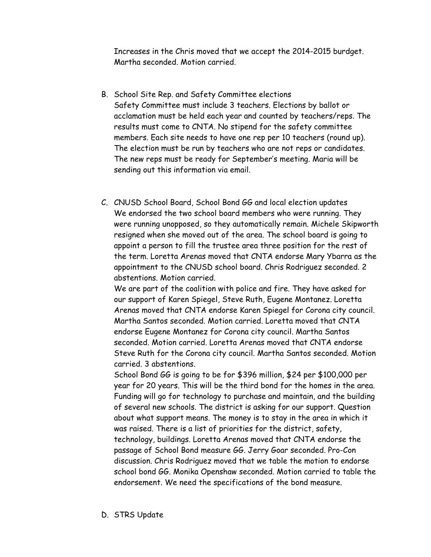Increases in the Chris moved that we accept the 2014-2015 burdget. Martha seconded. Motion carried.

- B. School Site Rep. and Safety Committee elections Safety Committee must include 3 teachers. Elections by ballot or acclamation must be held each year and counted by teachers/reps. The results must come to CNTA. No stipend for the safety committee members. Each site needs to have one rep per 10 teachers (round up). The election must be run by teachers who are not reps or candidates. The new reps must be ready for September's meeting. Maria will be sending out this information via email.
- C. CNUSD School Board, School Bond GG and local election updates We endorsed the two school board members who were running. They were running unopposed, so they automatically remain. Michele Skipworth resigned when she moved out of the area. The school board is going to appoint a person to fill the trustee area three position for the rest of the term. Loretta Arenas moved that CNTA endorse Mary Ybarra as the appointment to the CNUSD school board. Chris Rodriguez seconded. 2 abstentions. Motion carried.

We are part of the coalition with police and fire. They have asked for our support of Karen Spiegel, Steve Ruth, Eugene Montanez. Loretta Arenas moved that CNTA endorse Karen Spiegel for Corona city council. Martha Santos seconded. Motion carried. Loretta moved that CNTA endorse Eugene Montanez for Corona city council. Martha Santos seconded. Motion carried. Loretta Arenas moved that CNTA endorse Steve Ruth for the Corona city council. Martha Santos seconded. Motion carried. 3 abstentions.

School Bond GG is going to be for \$396 million, \$24 per \$100,000 per year for 20 years. This will be the third bond for the homes in the area. Funding will go for technology to purchase and maintain, and the building of several new schools. The district is asking for our support. Question about what support means. The money is to stay in the area in which it was raised. There is a list of priorities for the district, safety, technology, buildings. Loretta Arenas moved that CNTA endorse the passage of School Bond measure GG. Jerry Goar seconded. Pro-Con discussion. Chris Rodriguez moved that we table the motion to endorse school bond GG. Monika Openshaw seconded. Motion carried to table the endorsement. We need the specifications of the bond measure.